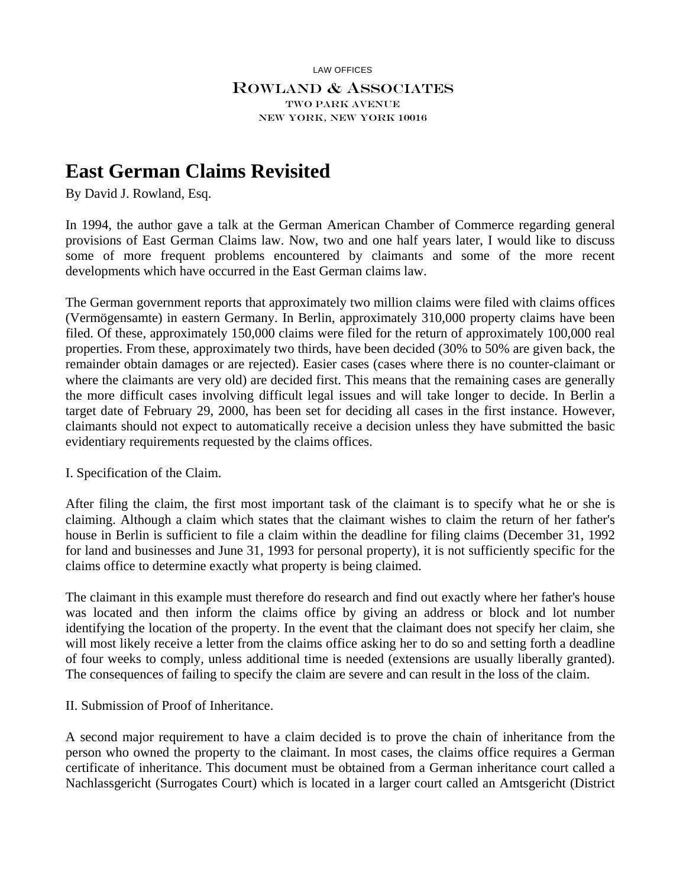LAW OFFICES

## Rowland & Associates Two Park Avenue New York, New York 10016

# **East German Claims Revisited**

By David J. Rowland, Esq.

In 1994, the author gave a talk at the German American Chamber of Commerce regarding general provisions of East German Claims law. Now, two and one half years later, I would like to discuss some of more frequent problems encountered by claimants and some of the more recent developments which have occurred in the East German claims law.

The German government reports that approximately two million claims were filed with claims offices (Vermögensamte) in eastern Germany. In Berlin, approximately 310,000 property claims have been filed. Of these, approximately 150,000 claims were filed for the return of approximately 100,000 real properties. From these, approximately two thirds, have been decided (30% to 50% are given back, the remainder obtain damages or are rejected). Easier cases (cases where there is no counter-claimant or where the claimants are very old) are decided first. This means that the remaining cases are generally the more difficult cases involving difficult legal issues and will take longer to decide. In Berlin a target date of February 29, 2000, has been set for deciding all cases in the first instance. However, claimants should not expect to automatically receive a decision unless they have submitted the basic evidentiary requirements requested by the claims offices.

I. Specification of the Claim.

After filing the claim, the first most important task of the claimant is to specify what he or she is claiming. Although a claim which states that the claimant wishes to claim the return of her father's house in Berlin is sufficient to file a claim within the deadline for filing claims (December 31, 1992 for land and businesses and June 31, 1993 for personal property), it is not sufficiently specific for the claims office to determine exactly what property is being claimed.

The claimant in this example must therefore do research and find out exactly where her father's house was located and then inform the claims office by giving an address or block and lot number identifying the location of the property. In the event that the claimant does not specify her claim, she will most likely receive a letter from the claims office asking her to do so and setting forth a deadline of four weeks to comply, unless additional time is needed (extensions are usually liberally granted). The consequences of failing to specify the claim are severe and can result in the loss of the claim.

II. Submission of Proof of Inheritance.

A second major requirement to have a claim decided is to prove the chain of inheritance from the person who owned the property to the claimant. In most cases, the claims office requires a German certificate of inheritance. This document must be obtained from a German inheritance court called a Nachlassgericht (Surrogates Court) which is located in a larger court called an Amtsgericht (District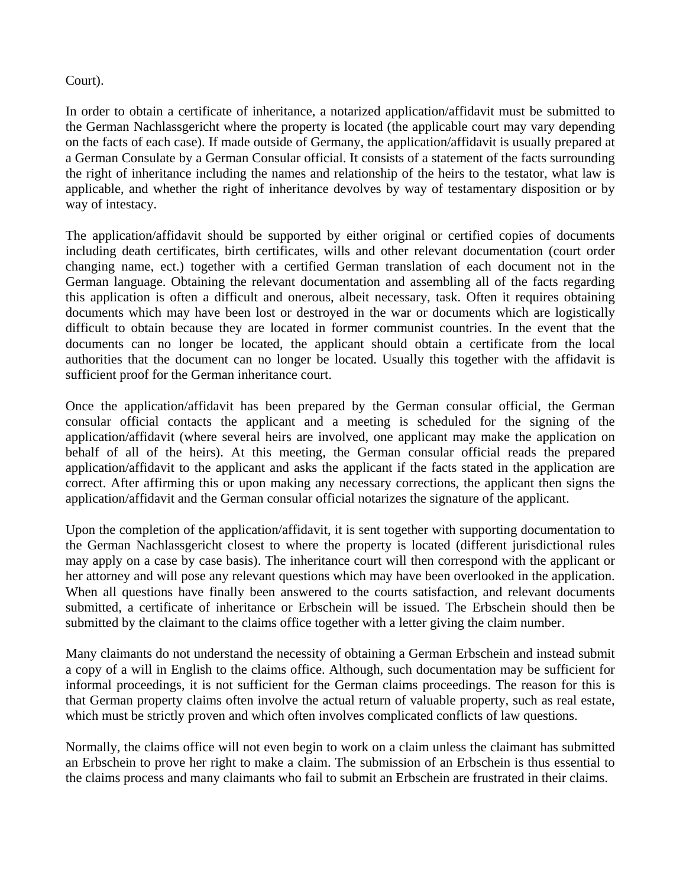## Court).

In order to obtain a certificate of inheritance, a notarized application/affidavit must be submitted to the German Nachlassgericht where the property is located (the applicable court may vary depending on the facts of each case). If made outside of Germany, the application/affidavit is usually prepared at a German Consulate by a German Consular official. It consists of a statement of the facts surrounding the right of inheritance including the names and relationship of the heirs to the testator, what law is applicable, and whether the right of inheritance devolves by way of testamentary disposition or by way of intestacy.

The application/affidavit should be supported by either original or certified copies of documents including death certificates, birth certificates, wills and other relevant documentation (court order changing name, ect.) together with a certified German translation of each document not in the German language. Obtaining the relevant documentation and assembling all of the facts regarding this application is often a difficult and onerous, albeit necessary, task. Often it requires obtaining documents which may have been lost or destroyed in the war or documents which are logistically difficult to obtain because they are located in former communist countries. In the event that the documents can no longer be located, the applicant should obtain a certificate from the local authorities that the document can no longer be located. Usually this together with the affidavit is sufficient proof for the German inheritance court.

Once the application/affidavit has been prepared by the German consular official, the German consular official contacts the applicant and a meeting is scheduled for the signing of the application/affidavit (where several heirs are involved, one applicant may make the application on behalf of all of the heirs). At this meeting, the German consular official reads the prepared application/affidavit to the applicant and asks the applicant if the facts stated in the application are correct. After affirming this or upon making any necessary corrections, the applicant then signs the application/affidavit and the German consular official notarizes the signature of the applicant.

Upon the completion of the application/affidavit, it is sent together with supporting documentation to the German Nachlassgericht closest to where the property is located (different jurisdictional rules may apply on a case by case basis). The inheritance court will then correspond with the applicant or her attorney and will pose any relevant questions which may have been overlooked in the application. When all questions have finally been answered to the courts satisfaction, and relevant documents submitted, a certificate of inheritance or Erbschein will be issued. The Erbschein should then be submitted by the claimant to the claims office together with a letter giving the claim number.

Many claimants do not understand the necessity of obtaining a German Erbschein and instead submit a copy of a will in English to the claims office. Although, such documentation may be sufficient for informal proceedings, it is not sufficient for the German claims proceedings. The reason for this is that German property claims often involve the actual return of valuable property, such as real estate, which must be strictly proven and which often involves complicated conflicts of law questions.

Normally, the claims office will not even begin to work on a claim unless the claimant has submitted an Erbschein to prove her right to make a claim. The submission of an Erbschein is thus essential to the claims process and many claimants who fail to submit an Erbschein are frustrated in their claims.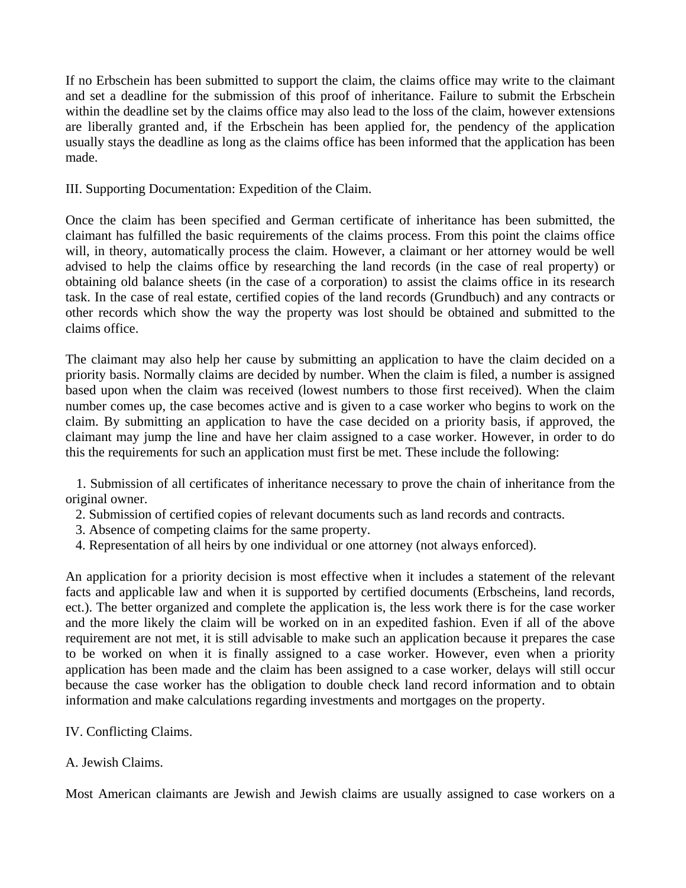If no Erbschein has been submitted to support the claim, the claims office may write to the claimant and set a deadline for the submission of this proof of inheritance. Failure to submit the Erbschein within the deadline set by the claims office may also lead to the loss of the claim, however extensions are liberally granted and, if the Erbschein has been applied for, the pendency of the application usually stays the deadline as long as the claims office has been informed that the application has been made.

III. Supporting Documentation: Expedition of the Claim.

Once the claim has been specified and German certificate of inheritance has been submitted, the claimant has fulfilled the basic requirements of the claims process. From this point the claims office will, in theory, automatically process the claim. However, a claimant or her attorney would be well advised to help the claims office by researching the land records (in the case of real property) or obtaining old balance sheets (in the case of a corporation) to assist the claims office in its research task. In the case of real estate, certified copies of the land records (Grundbuch) and any contracts or other records which show the way the property was lost should be obtained and submitted to the claims office.

The claimant may also help her cause by submitting an application to have the claim decided on a priority basis. Normally claims are decided by number. When the claim is filed, a number is assigned based upon when the claim was received (lowest numbers to those first received). When the claim number comes up, the case becomes active and is given to a case worker who begins to work on the claim. By submitting an application to have the case decided on a priority basis, if approved, the claimant may jump the line and have her claim assigned to a case worker. However, in order to do this the requirements for such an application must first be met. These include the following:

 1. Submission of all certificates of inheritance necessary to prove the chain of inheritance from the original owner.

- 2. Submission of certified copies of relevant documents such as land records and contracts.
- 3. Absence of competing claims for the same property.
- 4. Representation of all heirs by one individual or one attorney (not always enforced).

An application for a priority decision is most effective when it includes a statement of the relevant facts and applicable law and when it is supported by certified documents (Erbscheins, land records, ect.). The better organized and complete the application is, the less work there is for the case worker and the more likely the claim will be worked on in an expedited fashion. Even if all of the above requirement are not met, it is still advisable to make such an application because it prepares the case to be worked on when it is finally assigned to a case worker. However, even when a priority application has been made and the claim has been assigned to a case worker, delays will still occur because the case worker has the obligation to double check land record information and to obtain information and make calculations regarding investments and mortgages on the property.

#### IV. Conflicting Claims.

#### A. Jewish Claims.

Most American claimants are Jewish and Jewish claims are usually assigned to case workers on a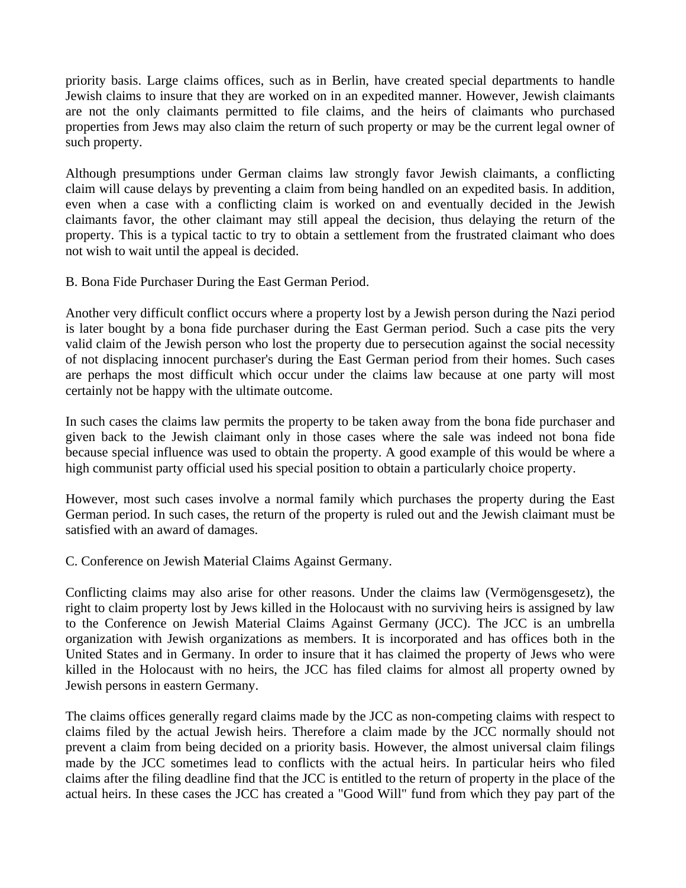priority basis. Large claims offices, such as in Berlin, have created special departments to handle Jewish claims to insure that they are worked on in an expedited manner. However, Jewish claimants are not the only claimants permitted to file claims, and the heirs of claimants who purchased properties from Jews may also claim the return of such property or may be the current legal owner of such property.

Although presumptions under German claims law strongly favor Jewish claimants, a conflicting claim will cause delays by preventing a claim from being handled on an expedited basis. In addition, even when a case with a conflicting claim is worked on and eventually decided in the Jewish claimants favor, the other claimant may still appeal the decision, thus delaying the return of the property. This is a typical tactic to try to obtain a settlement from the frustrated claimant who does not wish to wait until the appeal is decided.

B. Bona Fide Purchaser During the East German Period.

Another very difficult conflict occurs where a property lost by a Jewish person during the Nazi period is later bought by a bona fide purchaser during the East German period. Such a case pits the very valid claim of the Jewish person who lost the property due to persecution against the social necessity of not displacing innocent purchaser's during the East German period from their homes. Such cases are perhaps the most difficult which occur under the claims law because at one party will most certainly not be happy with the ultimate outcome.

In such cases the claims law permits the property to be taken away from the bona fide purchaser and given back to the Jewish claimant only in those cases where the sale was indeed not bona fide because special influence was used to obtain the property. A good example of this would be where a high communist party official used his special position to obtain a particularly choice property.

However, most such cases involve a normal family which purchases the property during the East German period. In such cases, the return of the property is ruled out and the Jewish claimant must be satisfied with an award of damages.

C. Conference on Jewish Material Claims Against Germany.

Conflicting claims may also arise for other reasons. Under the claims law (Vermögensgesetz), the right to claim property lost by Jews killed in the Holocaust with no surviving heirs is assigned by law to the Conference on Jewish Material Claims Against Germany (JCC). The JCC is an umbrella organization with Jewish organizations as members. It is incorporated and has offices both in the United States and in Germany. In order to insure that it has claimed the property of Jews who were killed in the Holocaust with no heirs, the JCC has filed claims for almost all property owned by Jewish persons in eastern Germany.

The claims offices generally regard claims made by the JCC as non-competing claims with respect to claims filed by the actual Jewish heirs. Therefore a claim made by the JCC normally should not prevent a claim from being decided on a priority basis. However, the almost universal claim filings made by the JCC sometimes lead to conflicts with the actual heirs. In particular heirs who filed claims after the filing deadline find that the JCC is entitled to the return of property in the place of the actual heirs. In these cases the JCC has created a "Good Will" fund from which they pay part of the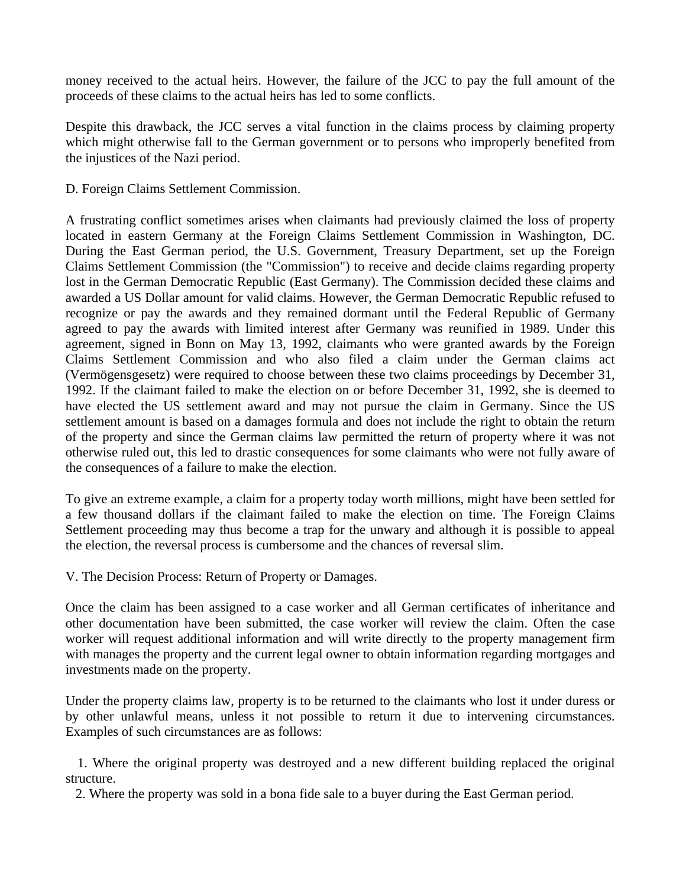money received to the actual heirs. However, the failure of the JCC to pay the full amount of the proceeds of these claims to the actual heirs has led to some conflicts.

Despite this drawback, the JCC serves a vital function in the claims process by claiming property which might otherwise fall to the German government or to persons who improperly benefited from the injustices of the Nazi period.

D. Foreign Claims Settlement Commission.

A frustrating conflict sometimes arises when claimants had previously claimed the loss of property located in eastern Germany at the Foreign Claims Settlement Commission in Washington, DC. During the East German period, the U.S. Government, Treasury Department, set up the Foreign Claims Settlement Commission (the "Commission") to receive and decide claims regarding property lost in the German Democratic Republic (East Germany). The Commission decided these claims and awarded a US Dollar amount for valid claims. However, the German Democratic Republic refused to recognize or pay the awards and they remained dormant until the Federal Republic of Germany agreed to pay the awards with limited interest after Germany was reunified in 1989. Under this agreement, signed in Bonn on May 13, 1992, claimants who were granted awards by the Foreign Claims Settlement Commission and who also filed a claim under the German claims act (Vermögensgesetz) were required to choose between these two claims proceedings by December 31, 1992. If the claimant failed to make the election on or before December 31, 1992, she is deemed to have elected the US settlement award and may not pursue the claim in Germany. Since the US settlement amount is based on a damages formula and does not include the right to obtain the return of the property and since the German claims law permitted the return of property where it was not otherwise ruled out, this led to drastic consequences for some claimants who were not fully aware of the consequences of a failure to make the election.

To give an extreme example, a claim for a property today worth millions, might have been settled for a few thousand dollars if the claimant failed to make the election on time. The Foreign Claims Settlement proceeding may thus become a trap for the unwary and although it is possible to appeal the election, the reversal process is cumbersome and the chances of reversal slim.

V. The Decision Process: Return of Property or Damages.

Once the claim has been assigned to a case worker and all German certificates of inheritance and other documentation have been submitted, the case worker will review the claim. Often the case worker will request additional information and will write directly to the property management firm with manages the property and the current legal owner to obtain information regarding mortgages and investments made on the property.

Under the property claims law, property is to be returned to the claimants who lost it under duress or by other unlawful means, unless it not possible to return it due to intervening circumstances. Examples of such circumstances are as follows:

 1. Where the original property was destroyed and a new different building replaced the original structure.

2. Where the property was sold in a bona fide sale to a buyer during the East German period.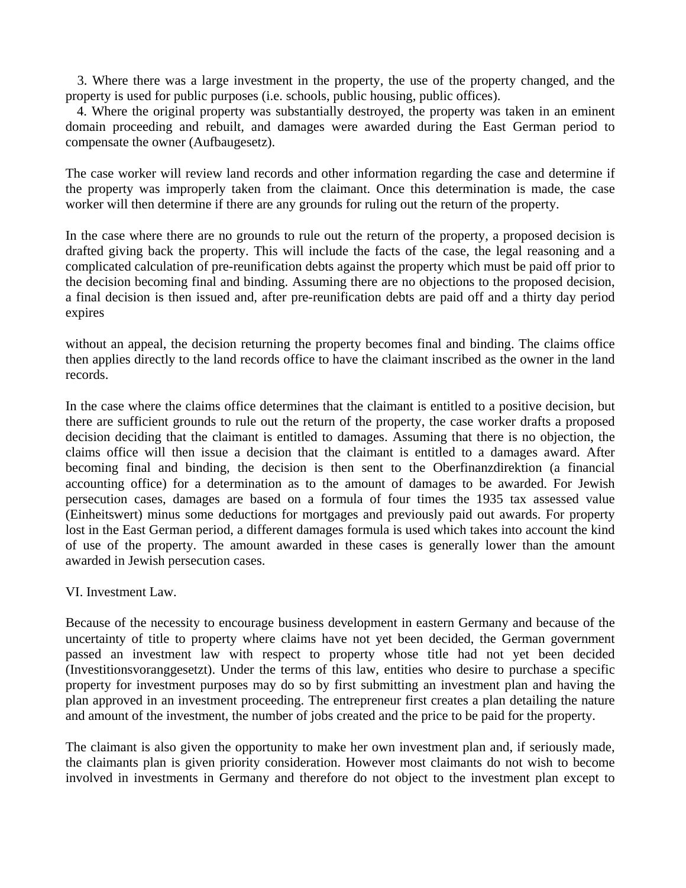3. Where there was a large investment in the property, the use of the property changed, and the property is used for public purposes (i.e. schools, public housing, public offices).

 4. Where the original property was substantially destroyed, the property was taken in an eminent domain proceeding and rebuilt, and damages were awarded during the East German period to compensate the owner (Aufbaugesetz).

The case worker will review land records and other information regarding the case and determine if the property was improperly taken from the claimant. Once this determination is made, the case worker will then determine if there are any grounds for ruling out the return of the property.

In the case where there are no grounds to rule out the return of the property, a proposed decision is drafted giving back the property. This will include the facts of the case, the legal reasoning and a complicated calculation of pre-reunification debts against the property which must be paid off prior to the decision becoming final and binding. Assuming there are no objections to the proposed decision, a final decision is then issued and, after pre-reunification debts are paid off and a thirty day period expires

without an appeal, the decision returning the property becomes final and binding. The claims office then applies directly to the land records office to have the claimant inscribed as the owner in the land records.

In the case where the claims office determines that the claimant is entitled to a positive decision, but there are sufficient grounds to rule out the return of the property, the case worker drafts a proposed decision deciding that the claimant is entitled to damages. Assuming that there is no objection, the claims office will then issue a decision that the claimant is entitled to a damages award. After becoming final and binding, the decision is then sent to the Oberfinanzdirektion (a financial accounting office) for a determination as to the amount of damages to be awarded. For Jewish persecution cases, damages are based on a formula of four times the 1935 tax assessed value (Einheitswert) minus some deductions for mortgages and previously paid out awards. For property lost in the East German period, a different damages formula is used which takes into account the kind of use of the property. The amount awarded in these cases is generally lower than the amount awarded in Jewish persecution cases.

#### VI. Investment Law.

Because of the necessity to encourage business development in eastern Germany and because of the uncertainty of title to property where claims have not yet been decided, the German government passed an investment law with respect to property whose title had not yet been decided (Investitionsvoranggesetzt). Under the terms of this law, entities who desire to purchase a specific property for investment purposes may do so by first submitting an investment plan and having the plan approved in an investment proceeding. The entrepreneur first creates a plan detailing the nature and amount of the investment, the number of jobs created and the price to be paid for the property.

The claimant is also given the opportunity to make her own investment plan and, if seriously made, the claimants plan is given priority consideration. However most claimants do not wish to become involved in investments in Germany and therefore do not object to the investment plan except to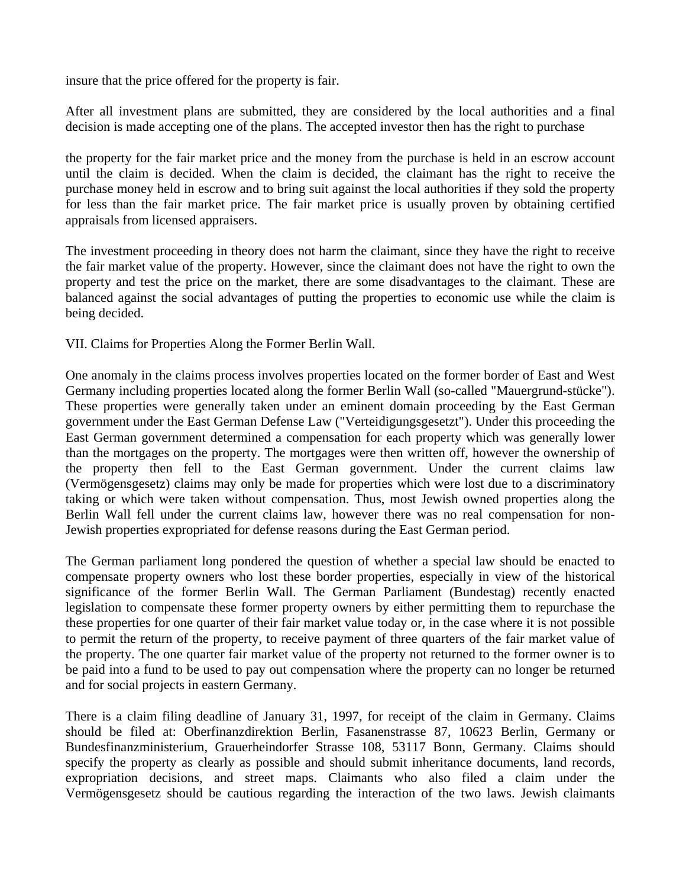insure that the price offered for the property is fair.

After all investment plans are submitted, they are considered by the local authorities and a final decision is made accepting one of the plans. The accepted investor then has the right to purchase

the property for the fair market price and the money from the purchase is held in an escrow account until the claim is decided. When the claim is decided, the claimant has the right to receive the purchase money held in escrow and to bring suit against the local authorities if they sold the property for less than the fair market price. The fair market price is usually proven by obtaining certified appraisals from licensed appraisers.

The investment proceeding in theory does not harm the claimant, since they have the right to receive the fair market value of the property. However, since the claimant does not have the right to own the property and test the price on the market, there are some disadvantages to the claimant. These are balanced against the social advantages of putting the properties to economic use while the claim is being decided.

VII. Claims for Properties Along the Former Berlin Wall.

One anomaly in the claims process involves properties located on the former border of East and West Germany including properties located along the former Berlin Wall (so-called "Mauergrund-stücke"). These properties were generally taken under an eminent domain proceeding by the East German government under the East German Defense Law ("Verteidigungsgesetzt"). Under this proceeding the East German government determined a compensation for each property which was generally lower than the mortgages on the property. The mortgages were then written off, however the ownership of the property then fell to the East German government. Under the current claims law (Vermögensgesetz) claims may only be made for properties which were lost due to a discriminatory taking or which were taken without compensation. Thus, most Jewish owned properties along the Berlin Wall fell under the current claims law, however there was no real compensation for non-Jewish properties expropriated for defense reasons during the East German period.

The German parliament long pondered the question of whether a special law should be enacted to compensate property owners who lost these border properties, especially in view of the historical significance of the former Berlin Wall. The German Parliament (Bundestag) recently enacted legislation to compensate these former property owners by either permitting them to repurchase the these properties for one quarter of their fair market value today or, in the case where it is not possible to permit the return of the property, to receive payment of three quarters of the fair market value of the property. The one quarter fair market value of the property not returned to the former owner is to be paid into a fund to be used to pay out compensation where the property can no longer be returned and for social projects in eastern Germany.

There is a claim filing deadline of January 31, 1997, for receipt of the claim in Germany. Claims should be filed at: Oberfinanzdirektion Berlin, Fasanenstrasse 87, 10623 Berlin, Germany or Bundesfinanzministerium, Grauerheindorfer Strasse 108, 53117 Bonn, Germany. Claims should specify the property as clearly as possible and should submit inheritance documents, land records, expropriation decisions, and street maps. Claimants who also filed a claim under the Vermögensgesetz should be cautious regarding the interaction of the two laws. Jewish claimants